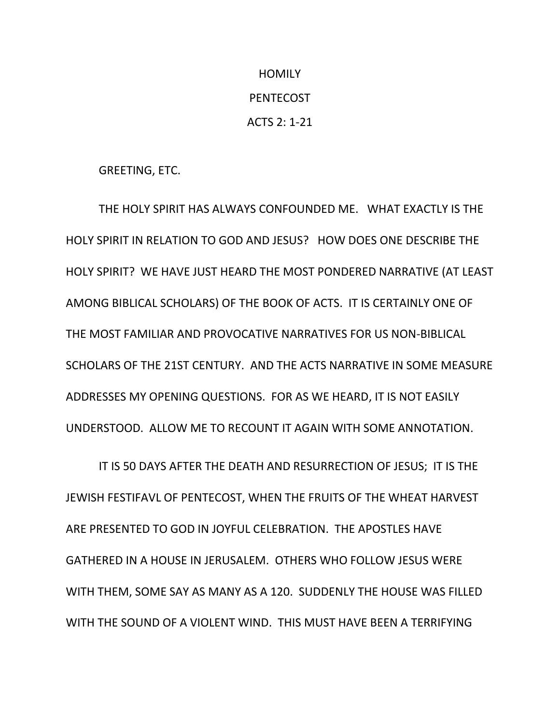## **HOMILY** PENTECOST ACTS 2: 1-21

GREETING, ETC.

THE HOLY SPIRIT HAS ALWAYS CONFOUNDED ME. WHAT EXACTLY IS THE HOLY SPIRIT IN RELATION TO GOD AND JESUS? HOW DOES ONE DESCRIBE THE HOLY SPIRIT? WE HAVE JUST HEARD THE MOST PONDERED NARRATIVE (AT LEAST AMONG BIBLICAL SCHOLARS) OF THE BOOK OF ACTS. IT IS CERTAINLY ONE OF THE MOST FAMILIAR AND PROVOCATIVE NARRATIVES FOR US NON-BIBLICAL SCHOLARS OF THE 21ST CENTURY. AND THE ACTS NARRATIVE IN SOME MEASURE ADDRESSES MY OPENING QUESTIONS. FOR AS WE HEARD, IT IS NOT EASILY UNDERSTOOD. ALLOW ME TO RECOUNT IT AGAIN WITH SOME ANNOTATION.

IT IS 50 DAYS AFTER THE DEATH AND RESURRECTION OF JESUS; IT IS THE JEWISH FESTIFAVL OF PENTECOST, WHEN THE FRUITS OF THE WHEAT HARVEST ARE PRESENTED TO GOD IN JOYFUL CELEBRATION. THE APOSTLES HAVE GATHERED IN A HOUSE IN JERUSALEM. OTHERS WHO FOLLOW JESUS WERE WITH THEM, SOME SAY AS MANY AS A 120. SUDDENLY THE HOUSE WAS FILLED WITH THE SOUND OF A VIOLENT WIND. THIS MUST HAVE BEEN A TERRIFYING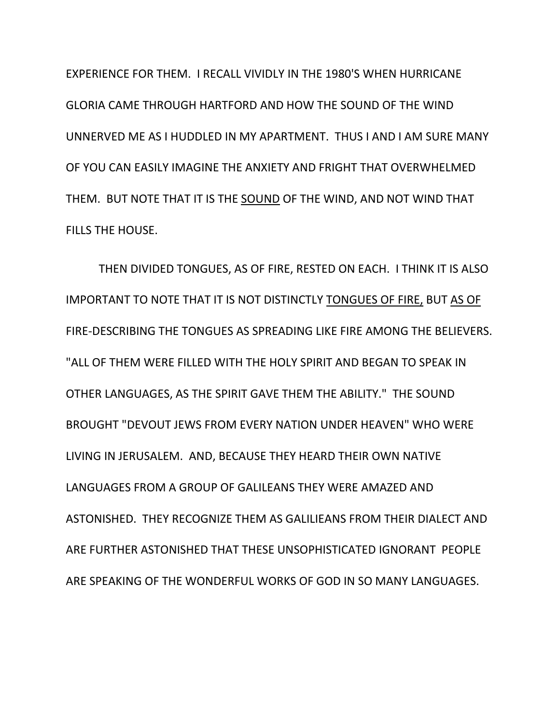EXPERIENCE FOR THEM. I RECALL VIVIDLY IN THE 1980'S WHEN HURRICANE GLORIA CAME THROUGH HARTFORD AND HOW THE SOUND OF THE WIND UNNERVED ME AS I HUDDLED IN MY APARTMENT. THUS I AND I AM SURE MANY OF YOU CAN EASILY IMAGINE THE ANXIETY AND FRIGHT THAT OVERWHELMED THEM. BUT NOTE THAT IT IS THE SOUND OF THE WIND, AND NOT WIND THAT FILLS THE HOUSE.

THEN DIVIDED TONGUES, AS OF FIRE, RESTED ON EACH. I THINK IT IS ALSO IMPORTANT TO NOTE THAT IT IS NOT DISTINCTLY TONGUES OF FIRE, BUT AS OF FIRE-DESCRIBING THE TONGUES AS SPREADING LIKE FIRE AMONG THE BELIEVERS. "ALL OF THEM WERE FILLED WITH THE HOLY SPIRIT AND BEGAN TO SPEAK IN OTHER LANGUAGES, AS THE SPIRIT GAVE THEM THE ABILITY." THE SOUND BROUGHT "DEVOUT JEWS FROM EVERY NATION UNDER HEAVEN" WHO WERE LIVING IN JERUSALEM. AND, BECAUSE THEY HEARD THEIR OWN NATIVE LANGUAGES FROM A GROUP OF GALILEANS THEY WERE AMAZED AND ASTONISHED. THEY RECOGNIZE THEM AS GALILIEANS FROM THEIR DIALECT AND ARE FURTHER ASTONISHED THAT THESE UNSOPHISTICATED IGNORANT PEOPLE ARE SPEAKING OF THE WONDERFUL WORKS OF GOD IN SO MANY LANGUAGES.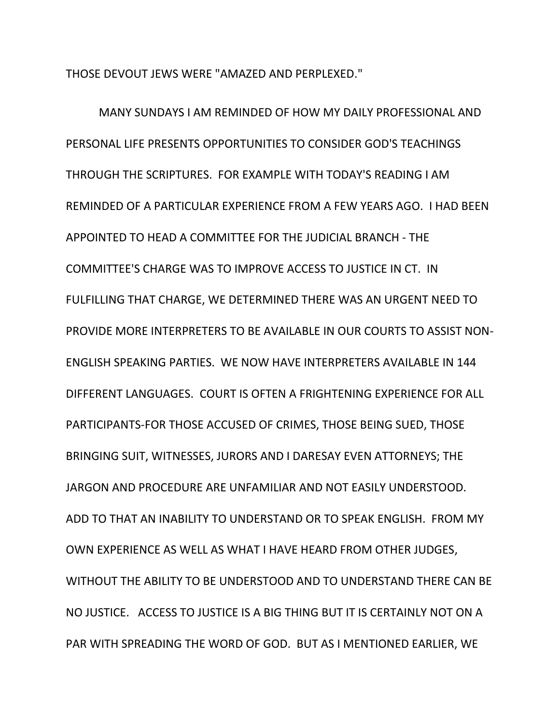THOSE DEVOUT JEWS WERE "AMAZED AND PERPLEXED."

MANY SUNDAYS I AM REMINDED OF HOW MY DAILY PROFESSIONAL AND PERSONAL LIFE PRESENTS OPPORTUNITIES TO CONSIDER GOD'S TEACHINGS THROUGH THE SCRIPTURES. FOR EXAMPLE WITH TODAY'S READING I AM REMINDED OF A PARTICULAR EXPERIENCE FROM A FEW YEARS AGO. I HAD BEEN APPOINTED TO HEAD A COMMITTEE FOR THE JUDICIAL BRANCH - THE COMMITTEE'S CHARGE WAS TO IMPROVE ACCESS TO JUSTICE IN CT. IN FULFILLING THAT CHARGE, WE DETERMINED THERE WAS AN URGENT NEED TO PROVIDE MORE INTERPRETERS TO BE AVAILABLE IN OUR COURTS TO ASSIST NON-ENGLISH SPEAKING PARTIES. WE NOW HAVE INTERPRETERS AVAILABLE IN 144 DIFFERENT LANGUAGES. COURT IS OFTEN A FRIGHTENING EXPERIENCE FOR ALL PARTICIPANTS-FOR THOSE ACCUSED OF CRIMES, THOSE BEING SUED, THOSE BRINGING SUIT, WITNESSES, JURORS AND I DARESAY EVEN ATTORNEYS; THE JARGON AND PROCEDURE ARE UNFAMILIAR AND NOT EASILY UNDERSTOOD. ADD TO THAT AN INABILITY TO UNDERSTAND OR TO SPEAK ENGLISH. FROM MY OWN EXPERIENCE AS WELL AS WHAT I HAVE HEARD FROM OTHER JUDGES, WITHOUT THE ABILITY TO BE UNDERSTOOD AND TO UNDERSTAND THERE CAN BE NO JUSTICE. ACCESS TO JUSTICE IS A BIG THING BUT IT IS CERTAINLY NOT ON A PAR WITH SPREADING THE WORD OF GOD. BUT AS I MENTIONED EARLIER, WE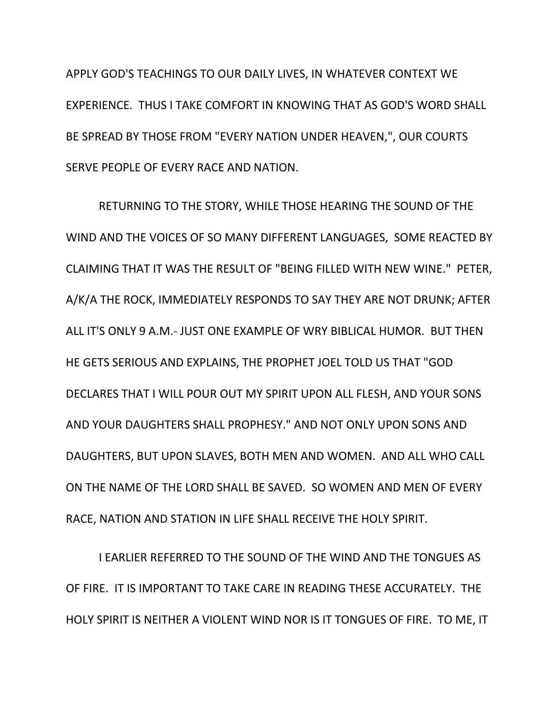APPLY GOD'S TEACHINGS TO OUR DAILY LIVES, IN WHATEVER CONTEXT WE EXPERIENCE. THUS I TAKE COMFORT IN KNOWING THAT AS GOD'S WORD SHALL BE SPREAD BY THOSE FROM "EVERY NATION UNDER HEAVEN,", OUR COURTS SERVE PEOPLE OF EVERY RACE AND NATION.

 RETURNING TO THE STORY, WHILE THOSE HEARING THE SOUND OF THE WIND AND THE VOICES OF SO MANY DIFFERENT LANGUAGES, SOME REACTED BY CLAIMING THAT IT WAS THE RESULT OF "BEING FILLED WITH NEW WINE." PETER, A/K/A THE ROCK, IMMEDIATELY RESPONDS TO SAY THEY ARE NOT DRUNK; AFTER ALL IT'S ONLY 9 A.M.- JUST ONE EXAMPLE OF WRY BIBLICAL HUMOR. BUT THEN HE GETS SERIOUS AND EXPLAINS, THE PROPHET JOEL TOLD US THAT "GOD DECLARES THAT I WILL POUR OUT MY SPIRIT UPON ALL FLESH, AND YOUR SONS AND YOUR DAUGHTERS SHALL PROPHESY." AND NOT ONLY UPON SONS AND DAUGHTERS, BUT UPON SLAVES, BOTH MEN AND WOMEN. AND ALL WHO CALL ON THE NAME OF THE LORD SHALL BE SAVED. SO WOMEN AND MEN OF EVERY RACE, NATION AND STATION IN LIFE SHALL RECEIVE THE HOLY SPIRIT.

I EARLIER REFERRED TO THE SOUND OF THE WIND AND THE TONGUES AS OF FIRE. IT IS IMPORTANT TO TAKE CARE IN READING THESE ACCURATELY. THE HOLY SPIRIT IS NEITHER A VIOLENT WIND NOR IS IT TONGUES OF FIRE. TO ME, IT